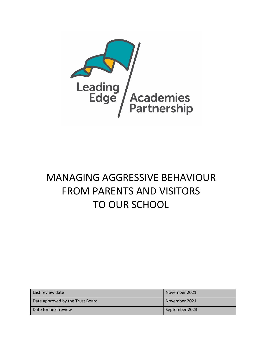

# MANAGING AGGRESSIVE BEHAVIOUR FROM PARENTS AND VISITORS TO OUR SCHOOL

| Last review date                 | November 2021  |
|----------------------------------|----------------|
| Date approved by the Trust Board | November 2021  |
| Date for next review             | September 2023 |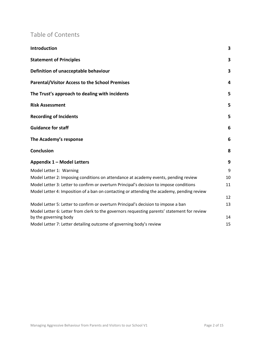# Table of Contents

| Introduction                                                                                | 3  |
|---------------------------------------------------------------------------------------------|----|
| <b>Statement of Principles</b>                                                              | 3  |
| Definition of unacceptable behaviour                                                        | 3  |
| <b>Parental/Visitor Access to the School Premises</b>                                       | 4  |
| The Trust's approach to dealing with incidents                                              | 5  |
| <b>Risk Assessment</b>                                                                      | 5  |
| <b>Recording of Incidents</b>                                                               | 5  |
| <b>Guidance for staff</b>                                                                   | 6  |
| The Academy's response                                                                      | 6  |
| <b>Conclusion</b>                                                                           | 8  |
| Appendix 1 - Model Letters                                                                  | 9  |
| Model Letter 1: Warning                                                                     | 9  |
| Model Letter 2: Imposing conditions on attendance at academy events, pending review         | 10 |
| Model Letter 3: Letter to confirm or overturn Principal's decision to impose conditions     | 11 |
| Model Letter 4: Imposition of a ban on contacting or attending the academy, pending review  | 12 |
| Model Letter 5: Letter to confirm or overturn Principal's decision to impose a ban          | 13 |
| Model Letter 6: Letter from clerk to the governors requesting parents' statement for review |    |
| by the governing body                                                                       | 14 |
| Model Letter 7: Letter detailing outcome of governing body's review                         | 15 |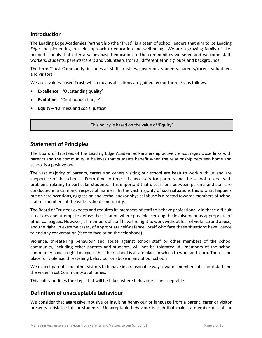# **Introduction**

The Leading Edge Academies Partnership (the 'Trust') is a team of school leaders that aim to be Leading Edge and pioneering in their approach to education and well-being. We are a growing family of likeminded schools that offer a values-based education to the communities we serve and welcome staff, workers, students, parents/carers and volunteers from all different ethnic groups and backgrounds.

The term 'Trust Community' includes all staff, trustees, governors, students, parents/carers, volunteers and visitors.

We are a values-based Trust, which means all actions are guided by our three 'Es' as follows:

- **Excellence** 'Outstanding quality'
- **Evolution** 'Continuous change'
- **Equity** 'Fairness and social justice'

This policy is based on the value of **'Equity'**

#### **Statement of Principles**

The Board of Trustees of the Leading Edge Academies Partnership actively encourages close links with parents and the community. It believes that students benefit when the relationship between home and school is a positive one.

The vast majority of parents, carers and others visiting our school are keen to work with us and are supportive of the school. From time to time it is necessary for parents and the school to deal with problems relating to particular students. It is important that discussions between parents and staff are conducted in a calm and respectful manner. In the vast majority of such situations this is what happens but on rare occasions, aggression and verbal and/or physical abuse is directed towards members of school staff or members of the wider school community.

The Board of Trustees expects and requires its members of staff to behave professionally in these difficult situations and attempt to defuse the situation where possible, seeking the involvement as appropriate of other colleagues. However, all members of staff have the right to work without fear of violence and abuse, and the right, in extreme cases, of appropriate self-defence. Staff who face these situations have licence to end any conversation (face to face or on the telephone).

Violence, threatening behaviour and abuse against school staff or other members of the school community, including other parents and students, will not be tolerated. All members of the school community have a right to expect that their school is a safe place in which to work and learn. There is no place for violence, threatening behaviour or abuse in any of our schools.

We expect parents and other visitors to behave in a reasonable way towards members of school staff and the wider Trust Community at all times.

This policy outlines the steps that will be taken where behaviour is unacceptable.

# **Definition of unacceptable behaviour**

We consider that aggressive, abusive or insulting behaviour or language from a parent, carer or visitor presents a risk to staff or students. Unacceptable behaviour is such that makes a member of staff or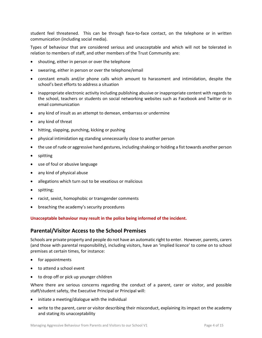student feel threatened. This can be through face-to-face contact, on the telephone or in written communication (including social media).

Types of behaviour that are considered serious and unacceptable and which will not be tolerated in relation to members of staff, and other members of the Trust Community are:

- shouting, either in person or over the telephone
- swearing, either in person or over the telephone/email
- constant emails and/or phone calls which amount to harassment and intimidation, despite the school's best efforts to address a situation
- inappropriate electronic activity including publishing abusive or inappropriate content with regards to the school, teachers or students on social networking websites such as Facebook and Twitter or in email communication
- any kind of insult as an attempt to demean, embarrass or undermine
- any kind of threat
- hitting, slapping, punching, kicking or pushing
- physical intimidation eg standing unnecessarily close to another person
- the use of rude or aggressive hand gestures, including shaking or holding a fist towards another person
- spitting
- use of foul or abusive language
- any kind of physical abuse
- allegations which turn out to be vexatious or malicious
- spitting;
- racist, sexist, homophobic or transgender comments
- breaching the academy's security procedures

#### **Unacceptable behaviour may result in the police being informed of the incident.**

# **Parental/Visitor Access to the School Premises**

Schools are private property and people do not have an automatic right to enter. However, parents, carers (and those with parental responsibility), including visitors, have an 'implied licence' to come on to school premises at certain times, for instance:

- for appointments
- to attend a school event
- to drop off or pick up younger children

Where there are serious concerns regarding the conduct of a parent, carer or visitor, and possible staff/student safety, the Executive Principal or Principal will:

- initiate a meeting/dialogue with the individual
- write to the parent, carer or visitor describing their misconduct, explaining its impact on the academy and stating its unacceptability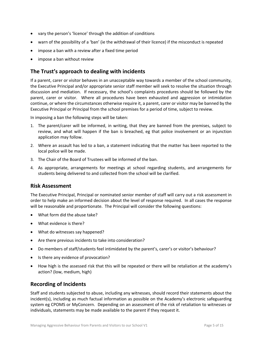- vary the person's 'licence' through the addition of conditions
- warn of the possibility of a 'ban' (ie the withdrawal of their licence) if the misconduct is repeated
- impose a ban with a review after a fixed time period
- impose a ban without review

# **The Trust's approach to dealing with incidents**

If a parent, carer or visitor behaves in an unacceptable way towards a member of the school community, the Executive Principal and/or appropriate senior staff member will seek to resolve the situation through discussion and mediation. If necessary, the school's complaints procedures should be followed by the parent, carer or visitor. Where all procedures have been exhausted and aggression or intimidation continue, or where the circumstances otherwise require it, a parent, carer or visitor may be banned by the Executive Principal or Principal from the school premises for a period of time, subject to review.

In imposing a ban the following steps will be taken:

- 1. The parent/carer will be informed, in writing, that they are banned from the premises, subject to review, and what will happen if the ban is breached, eg that police involvement or an injunction application may follow.
- 2. Where an assault has led to a ban, a statement indicating that the matter has been reported to the local police will be made.
- 3. The Chair of the Board of Trustees will be informed of the ban.
- 4. As appropriate, arrangements for meetings at school regarding students, and arrangements for students being delivered to and collected from the school will be clarified.

#### **Risk Assessment**

The Executive Principal, Principal or nominated senior member of staff will carry out a risk assessment in order to help make an informed decision about the level of response required. In all cases the response will be reasonable and proportionate. The Principal will consider the following questions:

- What form did the abuse take?
- What evidence is there?
- What do witnesses say happened?
- Are there previous incidents to take into consideration?
- Do members of staff/students feel intimidated by the parent's, carer's or visitor's behaviour?
- Is there any evidence of provocation?
- How high is the assessed risk that this will be repeated or there will be retaliation at the academy's action? (low, medium, high)

# **Recording of Incidents**

Staff and students subjected to abuse, including any witnesses, should record their statements about the incident(s), including as much factual information as possible on the Academy's electronic safeguarding system eg CPOMS or MyConcern. Depending on an assessment of the risk of retaliation to witnesses or individuals, statements may be made available to the parent if they request it.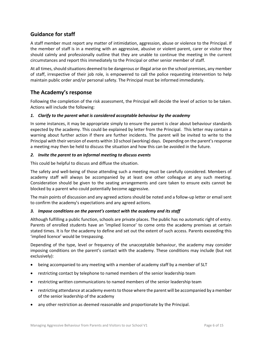# **Guidance for staff**

A staff member must report any matter of intimidation, aggression, abuse or violence to the Principal. If the member of staff is in a meeting with an aggressive, abusive or violent parent, carer or visitor they should calmly and professionally outline that they are unable to continue the meeting in the current circumstances and report this immediately to the Principal or other senior member of staff.

At all times, should situations deemed to be dangerous or illegal arise on the school premises, any member of staff, irrespective of their job role, is empowered to call the police requesting intervention to help maintain public order and/or personal safety. The Principal must be informed immediately.

# **The Academy's response**

Following the completion of the risk assessment, the Principal will decide the level of action to be taken. Actions will include the following:

#### *1. Clarify to the parent what is considered acceptable behaviour by the academy*

In some instances, it may be appropriate simply to ensure the parent is clear about behaviour standards expected by the academy. This could be explained by letter from the Principal. This letter may contain a warning about further action if there are further incidents. The parent will be invited to write to the Principal with their version of events within 10 school (working) days. Depending on the parent's response a meeting may then be held to discuss the situation and how this can be avoided in the future.

#### *2. Invite the parent to an informal meeting to discuss events*

This could be helpful to discuss and diffuse the situation.

The safety and well-being of those attending such a meeting must be carefully considered. Members of academy staff will always be accompanied by at least one other colleague at any such meeting. Consideration should be given to the seating arrangements and care taken to ensure exits cannot be blocked by a parent who could potentially become aggressive.

The main points of discussion and any agreed actions should be noted and a follow-up letter or email sent to confirm the academy's expectations and any agreed actions.

#### *3. Impose conditions on the parent's contact with the academy and its staff*

Although fulfilling a public function, schools are private places. The public has no automatic right of entry. Parents of enrolled students have an 'implied licence' to come onto the academy premises at certain stated times. It is for the academy to define and set out the extent of such access. Parents exceeding this 'implied licence' would be trespassing.

Depending of the type, level or frequency of the unacceptable behaviour, the academy may consider imposing conditions on the parent's contact with the academy. These conditions may include (but not exclusively):

- being accompanied to any meeting with a member of academy staff by a member of SLT
- restricting contact by telephone to named members of the senior leadership team
- restricting written communications to named members of the senior leadership team
- restricting attendance at academy events to those where the parent will be accompanied by a member of the senior leadership of the academy
- any other restriction as deemed reasonable and proportionate by the Principal.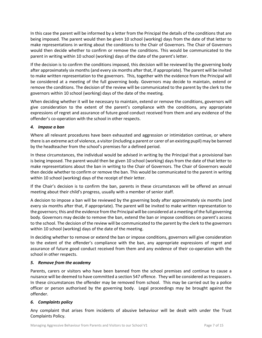In this case the parent will be informed by a letter from the Principal the details of the conditions that are being imposed. The parent would then be given 10 school (working) days from the date of that letter to make representations in writing about the conditions to the Chair of Governors. The Chair of Governors would then decide whether to confirm or remove the conditions. This would be communicated to the parent in writing within 10 school (working) days of the date of the parent's letter.

If the decision is to confirm the conditions imposed, this decision will be reviewed by the governing body after approximately six months (and every six months after that, if appropriate). The parent will be invited to make written representation to the governors. This, together with the evidence from the Principal will be considered at a meeting of the full governing body. Governors may decide to maintain, extend or remove the conditions. The decision of the review will be communicated to the parent by the clerk to the governors within 10 school (working) days of the date of the meeting.

When deciding whether it will be necessary to maintain, extend or remove the conditions, governors will give consideration to the extent of the parent's compliance with the conditions, any appropriate expressions of regret and assurance of future good conduct received from them and any evidence of the offender's co-operation with the school in other respects.

#### *4. Impose a ban*

Where all relevant procedures have been exhausted and aggression or intimidation continue, or where there is an extreme act of violence, a visitor (including a parent or carer of an existing pupil) may be banned by the headteacher from the school's premises for a defined period.

In these circumstances, the individual would be advised in writing by the Principal that a provisional ban is being imposed. The parent would then be given 10 school (working) days from the date of that letter to make representations about the ban in writing to the Chair of Governors. The Chair of Governors would then decide whether to confirm or remove the ban. This would be communicated to the parent in writing within 10 school (working) days of the receipt of their letter.

If the Chair's decision is to confirm the ban, parents in these circumstances will be offered an annual meeting about their child's progress, usually with a member of senior staff.

A decision to impose a ban will be reviewed by the governing body after approximately six months (and every six months after that, if appropriate). The parent will be invited to make written representation to the governors; this and the evidence from the Principal will be considered at a meeting of the full governing body. Governors may decide to remove the ban, extend the ban or impose conditions on parent's access to the school. The decision of the review will be communicated to the parent by the clerk to the governors within 10 school (working) days of the date of the meeting.

In deciding whether to remove or extend the ban or impose conditions, governors will give consideration to the extent of the offender's compliance with the ban, any appropriate expressions of regret and assurance of future good conduct received from them and any evidence of their co-operation with the school in other respects.

#### *5. Remove from the academy*

Parents, carers or visitors who have been banned from the school premises and continue to cause a nuisance will be deemed to have committed a section 547 offence. They will be considered astrespassers. In these circumstances the offender may be removed from school. This may be carried out by a police officer or person authorised by the governing body. Legal proceedings may be brought against the offender.

#### *6. Complaints policy*

Any complaint that arises from incidents of abusive behaviour will be dealt with under the Trust Complaints Policy.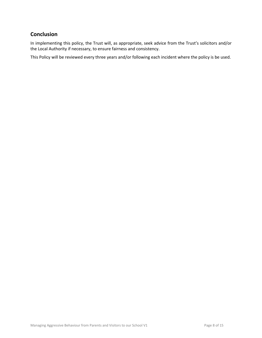# **Conclusion**

In implementing this policy, the Trust will, as appropriate, seek advice from the Trust's solicitors and/or the Local Authority if necessary, to ensure fairness and consistency.

This Policy will be reviewed every three years and/or following each incident where the policy is be used.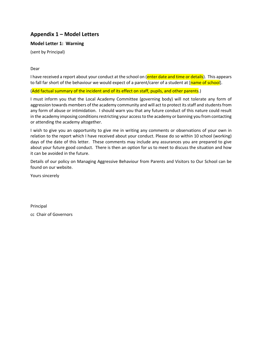# **Appendix 1 – Model Letters**

#### **Model Letter 1: Warning**

(sent by Principal)

Dear

I have received a report about your conduct at the school on (enter date and time or details). This appears to fall far short of the behaviour we would expect of a parent/carer of a student at [name of school].

(Add factual summary of the incident and of its effect on staff, pupils, and other parents.)

I must inform you that the Local Academy Committee (governing body) will not tolerate any form of aggression towards members of the academy community and will act to protect its staff and students from any form of abuse or intimidation. I should warn you that any future conduct of this nature could result in the academy imposing conditions restricting your access to the academy or banning you from contacting or attending the academy altogether.

I wish to give you an opportunity to give me in writing any comments or observations of your own in relation to the report which I have received about your conduct. Please do so within 10 school (working) days of the date of this letter. These comments may include any assurances you are prepared to give about your future good conduct. There is then an option for us to meet to discuss the situation and how it can be avoided in the future.

Details of our policy on Managing Aggressive Behaviour from Parents and Visitors to Our School can be found on our website.

Yours sincerely

Principal

cc Chair of Governors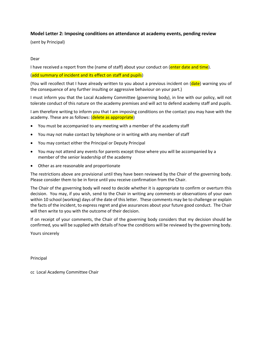#### **Model Letter 2: Imposing conditions on attendance at academy events, pending review**

(sent by Principal)

#### Dear

I have received a report from the (name of staff) about your conduct on (enter date and time).

(add summary of incident and its effect on staff and pupils)

(You will recollect that I have already written to you about a previous incident on (date) warning you of the consequence of any further insulting or aggressive behaviour on your part.)

I must inform you that the Local Academy Committee (governing body), in line with our policy, will not tolerate conduct of this nature on the academy premises and will act to defend academy staff and pupils.

I am therefore writing to inform you that I am imposing conditions on the contact you may have with the academy. These are as follows: (delete as appropriate)

- You must be accompanied to any meeting with a member of the academy staff
- You may not make contact by telephone or in writing with any member of staff
- You may contact either the Principal or Deputy Principal
- You may not attend any events for parents except those where you will be accompanied by a member of the senior leadership of the academy
- Other as are reasonable and proportionate

The restrictions above are provisional until they have been reviewed by the Chair of the governing body. Please consider them to be in force until you receive confirmation from the Chair.

The Chair of the governing body will need to decide whether it is appropriate to confirm or overturn this decision. You may, if you wish, send to the Chair in writing any comments or observations of your own within 10 school (working) days of the date of this letter. These comments may be to challenge or explain the facts of the incident, to express regret and give assurances about your future good conduct. The Chair will then write to you with the outcome of their decision.

If on receipt of your comments, the Chair of the governing body considers that my decision should be confirmed, you will be supplied with details of how the conditions will be reviewed by the governing body.

Yours sincerely

Principal

cc Local Academy Committee Chair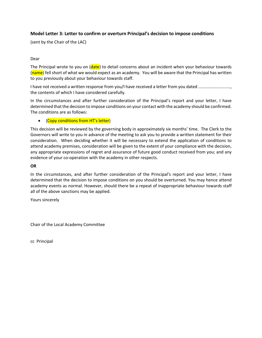#### **Model Letter 3: Letter to confirm or overturn Principal's decision to impose conditions**

(sent by the Chair of the LAC)

#### Dear

The Principal wrote to you on (date) to detail concerns about an incident when your behaviour towards (name) fell short of what we would expect as an academy. You will be aware that the Principal has written to you previously about your behaviour towards staff.

I have not received a written response from you/I have received a letter from you dated ......................, the contents of which I have considered carefully.

In the circumstances and after further consideration of the Principal's report and your letter, I have determined that the decision to impose conditions on your contact with the academy should be confirmed. The conditions are as follows:

• (Copy conditions from HT's letter)

This decision will be reviewed by the governing body in approximately six months' time. The Clerk to the Governors will write to you in advance of the meeting to ask you to provide a written statement for their consideration. When deciding whether it will be necessary to extend the application of conditions to attend academy premises, consideration will be given to the extent of your compliance with the decision, any appropriate expressions of regret and assurance of future good conduct received from you; and any evidence of your co-operation with the academy in other respects.

#### **OR**

In the circumstances, and after further consideration of the Principal's report and your letter, I have determined that the decision to impose conditions on you should be overturned. You may hence attend academy events as normal. However, should there be a repeat of inappropriate behaviour towards staff all of the above sanctions may be applied.

Yours sincerely

Chair of the Local Academy Committee

cc Principal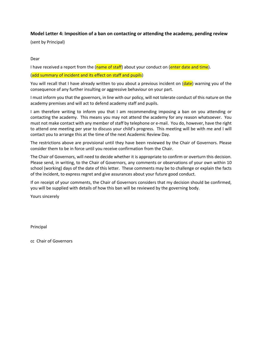#### **Model Letter 4: Imposition of a ban on contacting or attending the academy, pending review**

(sent by Principal)

#### Dear

I have received a report from the (name of staff) about your conduct on (enter date and time).

#### (add summary of incident and its effect on staff and pupils)

You will recall that I have already written to you about a previous incident on (date) warning you of the consequence of any further insulting or aggressive behaviour on your part.

I must inform you that the governors, in line with our policy, will not tolerate conduct of this nature on the academy premises and will act to defend academy staff and pupils.

I am therefore writing to inform you that I am recommending imposing a ban on you attending or contacting the academy. This means you may not attend the academy for any reason whatsoever. You must not make contact with any member of staff by telephone or e-mail. You do, however, have the right to attend one meeting per year to discuss your child's progress. This meeting will be with me and I will contact you to arrange this at the time of the next Academic Review Day.

The restrictions above are provisional until they have been reviewed by the Chair of Governors. Please consider them to be in force until you receive confirmation from the Chair.

The Chair of Governors, will need to decide whether it is appropriate to confirm or overturn this decision. Please send, in writing, to the Chair of Governors, any comments or observations of your own within 10 school (working) days of the date of this letter. These comments may be to challenge or explain the facts of the incident, to express regret and give assurances about your future good conduct.

If on receipt of your comments, the Chair of Governors considers that my decision should be confirmed, you will be supplied with details of how this ban will be reviewed by the governing body.

Yours sincerely

Principal

cc Chair of Governors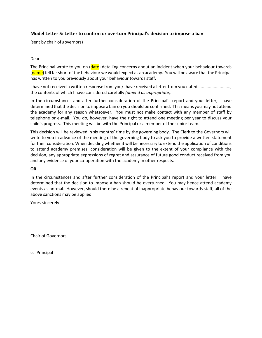#### **Model Letter 5: Letter to confirm or overturn Principal's decision to impose a ban**

(sent by chair of governors)

#### Dear

The Principal wrote to you on (date) detailing concerns about an incident when your behaviour towards (name) fell far short of the behaviour we would expect as an academy. You will be aware that the Principal has written to you previously about your behaviour towards staff.

I have not received a written response from you/I have received a letter from you dated ......................, the contents of which I have considered carefully *(amend as appropriate).*

In the circumstances and after further consideration of the Principal's report and your letter, I have determined that the decision to impose a ban on you should be confirmed. This means you may not attend the academy for any reason whatsoever. You must not make contact with any member of staff by telephone or e-mail. You do, however, have the right to attend one meeting per year to discuss your child's progress. This meeting will be with the Principal or a member of the senior team.

This decision will be reviewed in six months' time by the governing body. The Clerk to the Governors will write to you in advance of the meeting of the governing body to ask you to provide a written statement for their consideration. When deciding whether it will be necessary to extend the application of conditions to attend academy premises, consideration will be given to the extent of your compliance with the decision, any appropriate expressions of regret and assurance of future good conduct received from you and any evidence of your co-operation with the academy in other respects.

#### **OR**

In the circumstances and after further consideration of the Principal's report and your letter, I have determined that the decision to impose a ban should be overturned. You may hence attend academy events as normal. However, should there be a repeat of inappropriate behaviour towards staff, all of the above sanctions may be applied.

Yours sincerely

Chair of Governors

cc Principal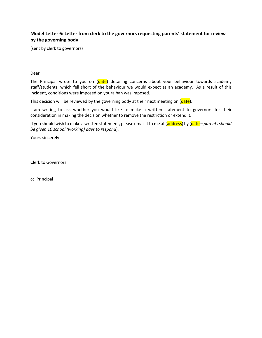# **Model Letter 6: Letter from clerk to the governors requesting parents' statement for review by the governing body**

(sent by clerk to governors)

#### Dear

The Principal wrote to you on (date) detailing concerns about your behaviour towards academy staff/students, which fell short of the behaviour we would expect as an academy. As a result of this incident, conditions were imposed on you/a ban was imposed.

This decision will be reviewed by the governing body at their next meeting on  $(date)$ .

I am writing to ask whether you would like to make a written statement to governors for their consideration in making the decision whether to remove the restriction or extend it.

If you should wish to make a written statement, please email it to me at (address) by (date – *parents should be given 10 school (working) days to respond*).

Yours sincerely

Clerk to Governors

cc Principal